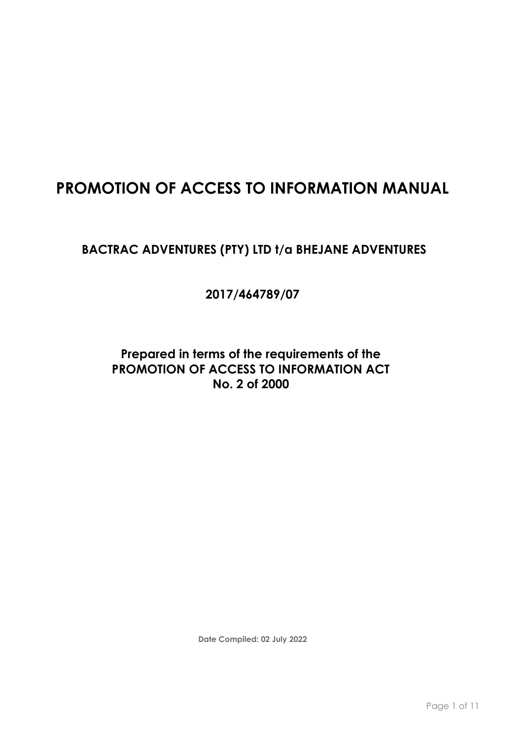# **PROMOTION OF ACCESS TO INFORMATION MANUAL**

# BACTRAC ADVENTURES (PTY) LTD t/a BHEJANE ADVENTURES

**2017/464789/07**

**Prepared in terms of the requirements of the PROMOTION OF ACCESS TO INFORMATION ACT No. 2 of 2000**

**Date Compiled: 02 July 2022**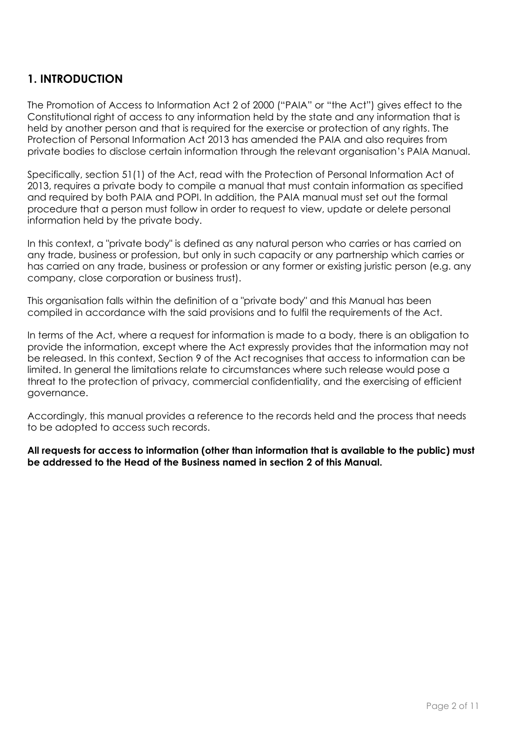# **1. INTRODUCTION**

The Promotion of Access to Information Act 2 of 2000 ("PAIA" or "the Act") gives effect to the Constitutional right of access to any information held by the state and any information that is held by another person and that is required for the exercise or protection of any rights. The Protection of Personal Information Act 2013 has amended the PAIA and also requires from private bodies to disclose certain information through the relevant organisation's PAIA Manual.

Specifically, section 51(1) of the Act, read with the Protection of Personal Information Act of 2013, requires a private body to compile a manual that must contain information as specified and required by both PAIA and POPI. In addition, the PAIA manual must set out the formal procedure that a person must follow in order to request to view, update or delete personal information held by the private body.

In this context, a "private body" is defined as any natural person who carries or has carried on any trade, business or profession, but only in such capacity or any partnership which carries or has carried on any trade, business or profession or any former or existing juristic person (e.g. any company, close corporation or business trust).

This organisation falls within the definition of a "private body" and this Manual has been compiled in accordance with the said provisions and to fulfil the requirements of the Act.

In terms of the Act, where a request for information is made to a body, there is an obligation to provide the information, except where the Act expressly provides that the information may not be released. In this context, Section 9 of the Act recognises that access to information can be limited. In general the limitations relate to circumstances where such release would pose a threat to the protection of privacy, commercial confidentiality, and the exercising of efficient governance.

Accordingly, this manual provides a reference to the records held and the process that needs to be adopted to access such records.

**All requests for access to information (other than information that is available to the public) must be addressed to the Head of the Business named in section 2 of this Manual.**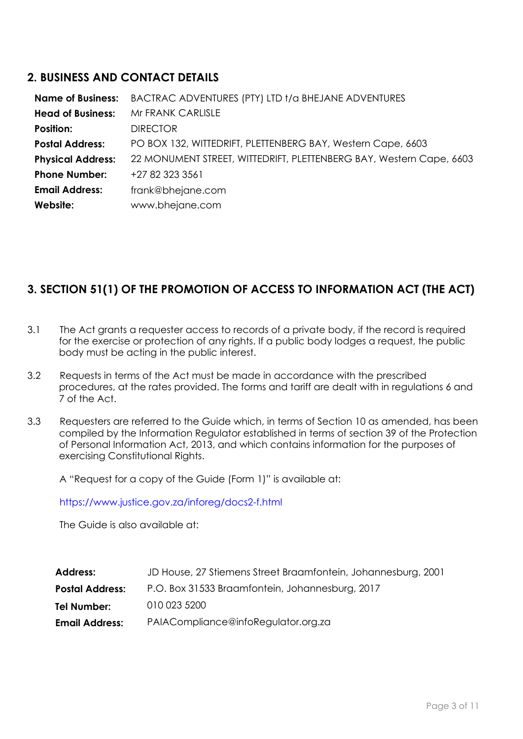### **2. BUSINESS AND CONTACT DETAILS**

| <b>Name of Business:</b> | BACTRAC ADVENTURES (PTY) LTD t/a BHEJANE ADVENTURES                 |
|--------------------------|---------------------------------------------------------------------|
| <b>Head of Business:</b> | Mr FRANK CARLISLE                                                   |
| <b>Position:</b>         | <b>DIRECTOR</b>                                                     |
| <b>Postal Address:</b>   | PO BOX 132, WITTEDRIFT, PLETTENBERG BAY, Western Cape, 6603         |
| <b>Physical Address:</b> | 22 MONUMENT STREET, WITTEDRIFT, PLETTENBERG BAY, Western Cape, 6603 |
| <b>Phone Number:</b>     | +27 82 323 3561                                                     |
| <b>Email Address:</b>    | frank@bhejane.com                                                   |
| Website:                 | www.bhejane.com                                                     |

# **3. SECTION 51(1) OF THE PROMOTION OF ACCESS TO INFORMATION ACT (THE ACT)**

- 3.1 The Act grants a requester access to records of a private body, if the record is required for the exercise or protection of any rights. If a public body lodges a request, the public body must be acting in the public interest.
- 3.2 Requests in terms of the Act must be made in accordance with the prescribed procedures, at the rates provided. The forms and tariff are dealt with in regulations 6 and 7 of the Act.
- 3.3 Requesters are referred to the Guide which, in terms of Section 10 as amended, has been compiled by the Information Regulator established in terms of section 39 of the Protection of Personal Information Act, 2013, and which contains information for the purposes of exercising Constitutional Rights.

A "Request for a copy of the Guide (Form 1)" is available at:

<https://www.justice.gov.za/inforeg/docs2-f.html>

The Guide is also available at:

| JD House, 27 Stiemens Street Braamfontein, Johannesburg, 2001 |
|---------------------------------------------------------------|
| P.O. Box 31533 Braamfontein, Johannesburg, 2017               |
| 010 023 5200                                                  |
| PAIACompliance@infoRegulator.org.za                           |
|                                                               |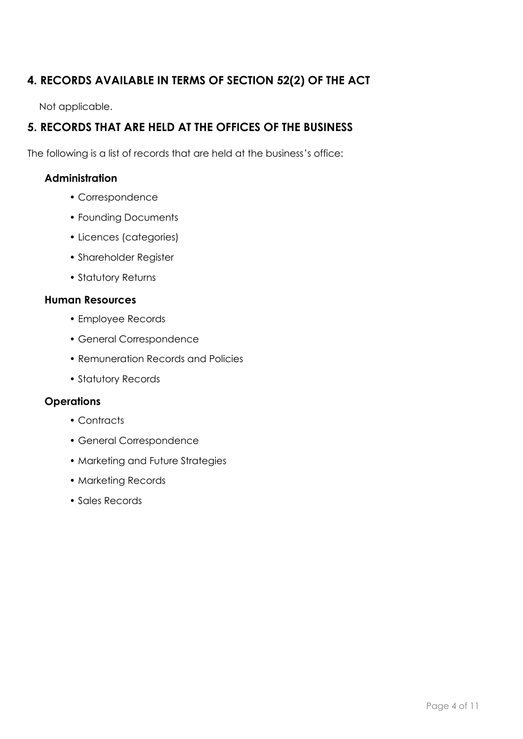# **4. RECORDS AVAILABLE IN TERMS OF SECTION 52(2) OF THE ACT**

Not applicable.

# **5. RECORDS THAT ARE HELD AT THE OFFICES OF THE BUSINESS**

The following is a list of records that are held at the business's office:

### **Administration**

- Correspondence
- Founding Documents
- Licences (categories)
- Shareholder Register
- Statutory Returns

#### **Human Resources**

- Employee Records
- General Correspondence
- Remuneration Records and Policies
- Statutory Records

#### **Operations**

- Contracts
- General Correspondence
- Marketing and Future Strategies
- Marketing Records
- Sales Records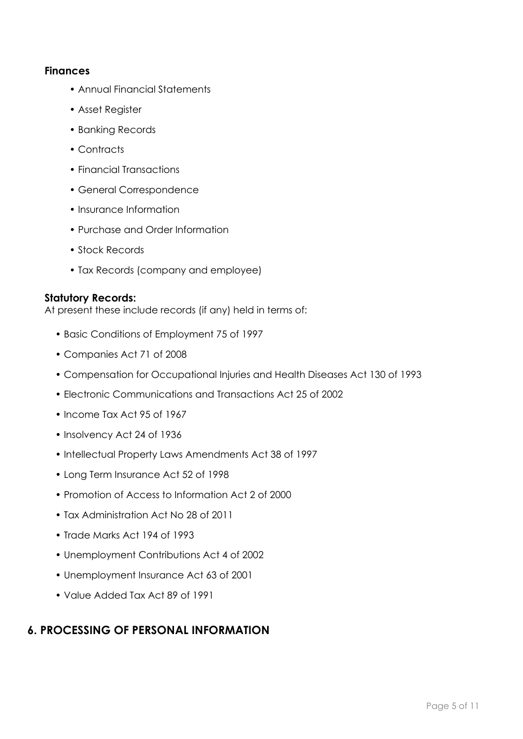#### **Finances**

- Annual Financial Statements
- Asset Register
- Banking Records
- Contracts
- Financial Transactions
- General Correspondence
- Insurance Information
- Purchase and Order Information
- Stock Records
- Tax Records (company and employee)

#### **Statutory Records:**

At present these include records (if any) held in terms of:

- Basic Conditions of Employment 75 of 1997
- Companies Act 71 of 2008
- Compensation for Occupational Injuries and Health Diseases Act 130 of 1993
- Electronic Communications and Transactions Act 25 of 2002
- Income Tax Act 95 of 1967
- Insolvency Act 24 of 1936
- Intellectual Property Laws Amendments Act 38 of 1997
- Long Term Insurance Act 52 of 1998
- Promotion of Access to Information Act 2 of 2000
- Tax Administration Act No 28 of 2011
- Trade Marks Act 194 of 1993
- Unemployment Contributions Act 4 of 2002
- Unemployment Insurance Act 63 of 2001
- Value Added Tax Act 89 of 1991

### **6. PROCESSING OF PERSONAL INFORMATION**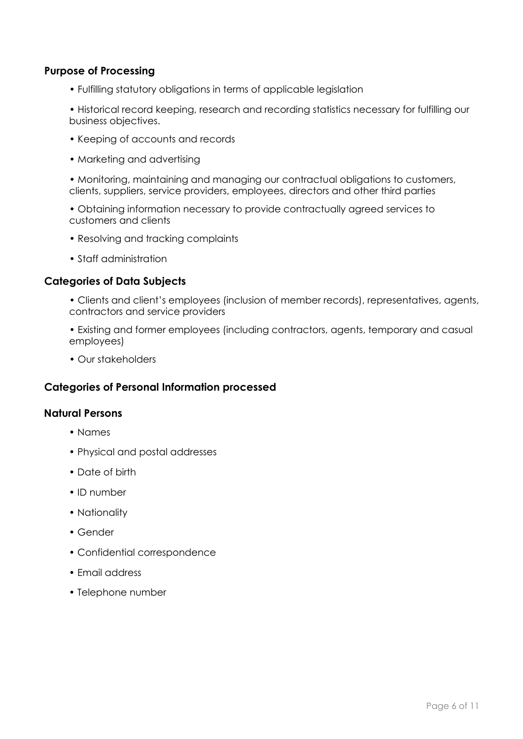#### **Purpose of Processing**

• Fulfilling statutory obligations in terms of applicable legislation

• Historical record keeping, research and recording statistics necessary for fulfilling our business objectives.

- Keeping of accounts and records
- Marketing and advertising

• Monitoring, maintaining and managing our contractual obligations to customers, clients, suppliers, service providers, employees, directors and other third parties

• Obtaining information necessary to provide contractually agreed services to customers and clients

- Resolving and tracking complaints
- Staff administration

#### **Categories of Data Subjects**

- Clients and client's employees (inclusion of member records), representatives, agents, contractors and service providers
- Existing and former employees (including contractors, agents, temporary and casual employees)
- Our stakeholders

#### **Categories of Personal Information processed**

#### **Natural Persons**

- Names
- Physical and postal addresses
- Date of birth
- ID number
- Nationality
- Gender
- Confidential correspondence
- Email address
- Telephone number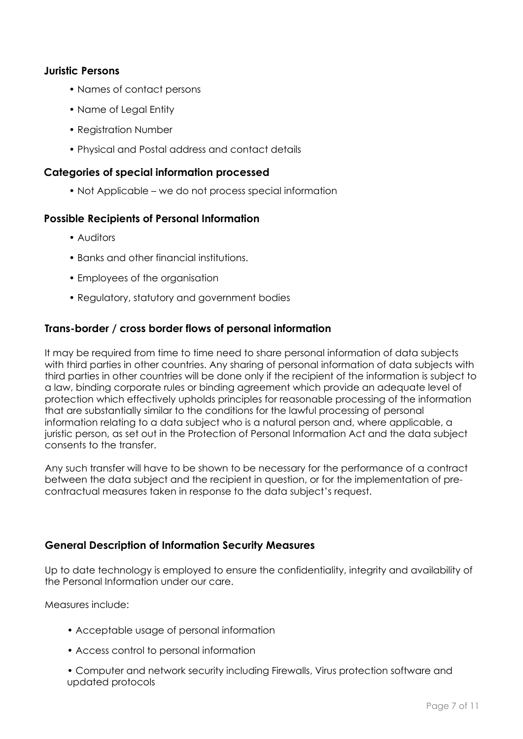#### **Juristic Persons**

- Names of contact persons
- Name of Legal Entity
- Registration Number
- Physical and Postal address and contact details

#### **Categories of special information processed**

• Not Applicable – we do not process special information

#### **Possible Recipients of Personal Information**

- Auditors
- Banks and other financial institutions.
- Employees of the organisation
- Regulatory, statutory and government bodies

#### **Trans-border / cross border flows of personal information**

It may be required from time to time need to share personal information of data subjects with third parties in other countries. Any sharing of personal information of data subjects with third parties in other countries will be done only if the recipient of the information is subject to a law, binding corporate rules or binding agreement which provide an adequate level of protection which effectively upholds principles for reasonable processing of the information that are substantially similar to the conditions for the lawful processing of personal information relating to a data subject who is a natural person and, where applicable, a juristic person, as set out in the Protection of Personal Information Act and the data subject consents to the transfer.

Any such transfer will have to be shown to be necessary for the performance of a contract between the data subject and the recipient in question, or for the implementation of precontractual measures taken in response to the data subject's request.

#### **General Description of Information Security Measures**

Up to date technology is employed to ensure the confidentiality, integrity and availability of the Personal Information under our care.

Measures include:

- Acceptable usage of personal information
- Access control to personal information

• Computer and network security including Firewalls, Virus protection software and updated protocols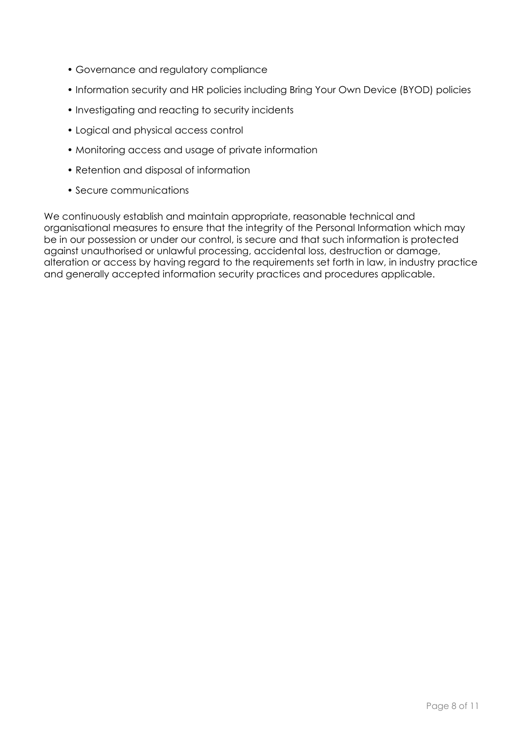- Governance and regulatory compliance
- Information security and HR policies including Bring Your Own Device (BYOD) policies
- Investigating and reacting to security incidents
- Logical and physical access control
- Monitoring access and usage of private information
- Retention and disposal of information
- Secure communications

We continuously establish and maintain appropriate, reasonable technical and organisational measures to ensure that the integrity of the Personal Information which may be in our possession or under our control, is secure and that such information is protected against unauthorised or unlawful processing, accidental loss, destruction or damage, alteration or access by having regard to the requirements set forth in law, in industry practice and generally accepted information security practices and procedures applicable.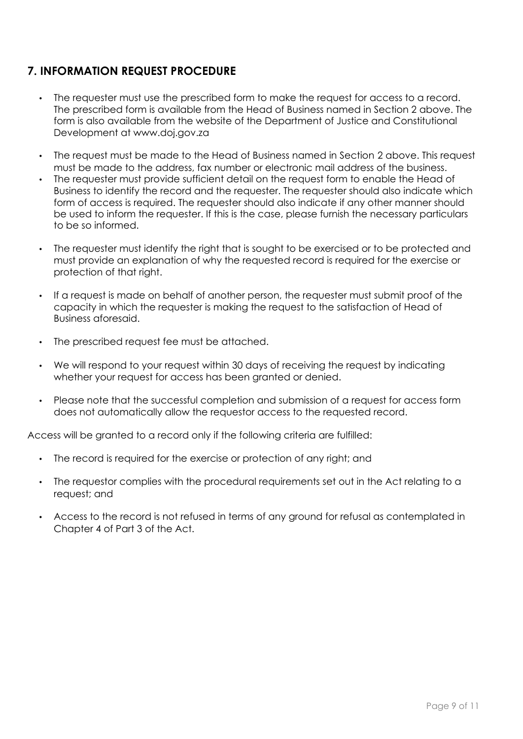# **7. INFORMATION REQUEST PROCEDURE**

- The requester must use the prescribed form to make the request for access to a record. The prescribed form is available from the Head of Business named in Section 2 above. The form is also available from the website of the Department of Justice and Constitutional Development at www.doj.gov.za
- The request must be made to the Head of Business named in Section 2 above. This request must be made to the address, fax number or electronic mail address of the business.
- The requester must provide sufficient detail on the request form to enable the Head of Business to identify the record and the requester. The requester should also indicate which form of access is required. The requester should also indicate if any other manner should be used to inform the requester. If this is the case, please furnish the necessary particulars to be so informed.
- The requester must identify the right that is sought to be exercised or to be protected and must provide an explanation of why the requested record is required for the exercise or protection of that right.
- If a request is made on behalf of another person, the requester must submit proof of the capacity in which the requester is making the request to the satisfaction of Head of Business aforesaid.
- The prescribed request fee must be attached.
- We will respond to your request within 30 days of receiving the request by indicating whether your request for access has been granted or denied.
- Please note that the successful completion and submission of a request for access form does not automatically allow the requestor access to the requested record.

Access will be granted to a record only if the following criteria are fulfilled:

- The record is required for the exercise or protection of any right; and
- The requestor complies with the procedural requirements set out in the Act relating to a request; and
- Access to the record is not refused in terms of any ground for refusal as contemplated in Chapter 4 of Part 3 of the Act.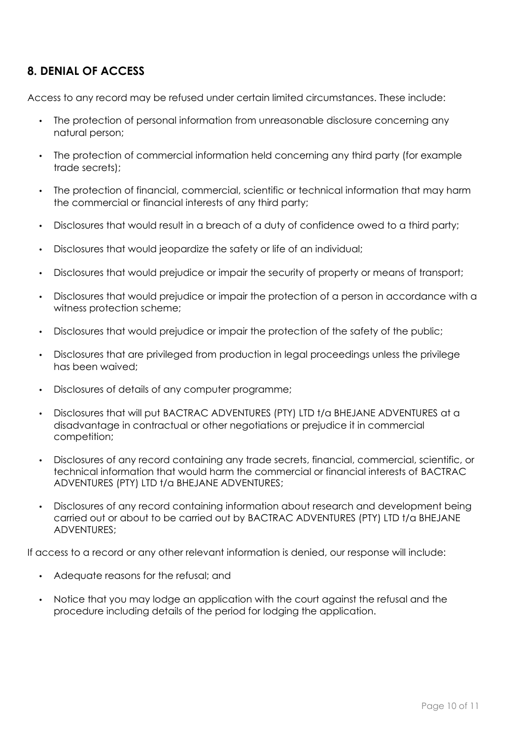### **8. DENIAL OF ACCESS**

Access to any record may be refused under certain limited circumstances. These include:

- The protection of personal information from unreasonable disclosure concerning any natural person;
- The protection of commercial information held concerning any third party (for example trade secrets);
- The protection of financial, commercial, scientific or technical information that may harm the commercial or financial interests of any third party;
- Disclosures that would result in a breach of a duty of confidence owed to a third party;
- Disclosures that would jeopardize the safety or life of an individual;
- Disclosures that would prejudice or impair the security of property or means of transport;
- Disclosures that would prejudice or impair the protection of a person in accordance with a witness protection scheme;
- Disclosures that would prejudice or impair the protection of the safety of the public;
- Disclosures that are privileged from production in legal proceedings unless the privilege has been waived;
- Disclosures of details of any computer programme;
- Disclosures that will put BACTRAC ADVENTURES (PTY) LTD t/a BHEJANE ADVENTURES at a disadvantage in contractual or other negotiations or prejudice it in commercial competition;
- Disclosures of any record containing any trade secrets, financial, commercial, scientific, or technical information that would harm the commercial or financial interests of BACTRAC ADVENTURES (PTY) LTD t/a BHEJANE ADVENTURES;
- Disclosures of any record containing information about research and development being carried out or about to be carried out by BACTRAC ADVENTURES (PTY) LTD t/a BHEJANE ADVENTURES;

If access to a record or any other relevant information is denied, our response will include:

- Adequate reasons for the refusal; and
- Notice that you may lodge an application with the court against the refusal and the procedure including details of the period for lodging the application.